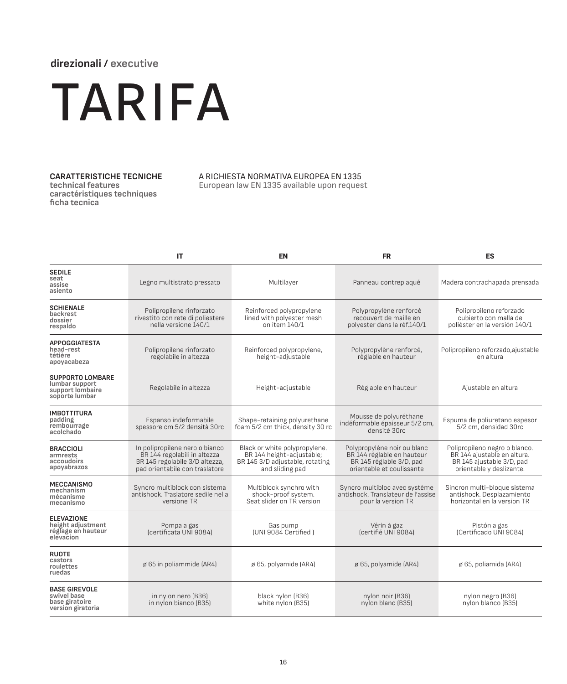## **direzionali / executive**

## TARIFA

## **CARATTERISTICHE TECNICHE**

**technical features caractéristiques techniques ficha tecnica**

## A RICHIESTA NORMATIVA EUROPEA EN 1335

European law EN 1335 available upon request

|                                                                                 | IT                                                                                                                                 | EN                                                                                                               | <b>FR</b>                                                                                                          | ES                                                                                                                    |  |  |
|---------------------------------------------------------------------------------|------------------------------------------------------------------------------------------------------------------------------------|------------------------------------------------------------------------------------------------------------------|--------------------------------------------------------------------------------------------------------------------|-----------------------------------------------------------------------------------------------------------------------|--|--|
| <b>SEDILE</b><br>seat<br>assise<br>asiento                                      | Legno multistrato pressato                                                                                                         | Multilayer                                                                                                       | Panneau contreplaqué                                                                                               | Madera contrachapada prensada                                                                                         |  |  |
| <b>SCHIENALE</b><br>backrest<br>dossier<br>respaldo                             | Polipropilene rinforzato<br>rivestito con rete di poliestere<br>nella versione 140/1                                               | Reinforced polypropylene<br>lined with polyester mesh<br>on item 140/1                                           | Polypropylène renforcé<br>recouvert de maille en<br>polvester dans la réf.140/1                                    | Polipropileno reforzado<br>cubierto con malla de<br>poliéster en la versión 140/1                                     |  |  |
| <b>APPOGGIATESTA</b><br>head-rest<br>tétière<br>apoyacabeza                     | Polipropilene rinforzato<br>regolabile in altezza                                                                                  | Reinforced polypropylene,<br>height-adjustable                                                                   | Polypropylène renforcé,<br>réglable en hauteur                                                                     | Polipropileno reforzado, ajustable<br>en altura                                                                       |  |  |
| <b>SUPPORTO LOMBARE</b><br>lumbar support<br>support lombaire<br>soporte lumbar | Regolabile in altezza                                                                                                              | Height-adjustable                                                                                                | Réglable en hauteur                                                                                                | Ajustable en altura                                                                                                   |  |  |
| <b>IMBOTTITURA</b><br>padding<br>rembourrage<br>acolchado                       | Espanso indeformabile<br>spessore cm 5/2 densità 30rc                                                                              | Shape-retaining polyurethane<br>foam 5/2 cm thick, density 30 rc                                                 | Mousse de polyuréthane<br>indéformable épaisseur 5/2 cm,<br>densité 30rc                                           | Espuma de poliuretano espesor<br>5/2 cm, densidad 30rc                                                                |  |  |
| <b>BRACCIOLI</b><br>armrests<br>accoudoirs<br>apoyabrazos                       | In polipropilene nero o bianco<br>BR 144 regolabili in altezza<br>BR 145 regolabile 3/D altezza,<br>pad orientabile con traslatore | Black or white polypropylene.<br>BR 144 height-adjustable;<br>BR 145 3/D adjustable, rotating<br>and sliding pad | Polypropylène noir ou blanc<br>BR 144 réglable en hauteur<br>BR 145 réglable 3/D, pad<br>orientable et coulissante | Polipropileno negro o blanco.<br>BR 144 ajustable en altura.<br>BR 145 ajustable 3/D, pad<br>orientable y deslizante. |  |  |
| <b>MECCANISMO</b><br>mechanism<br>mécanisme<br>mecanismo                        | Syncro multiblock con sistema<br>antishock. Traslatore sedile nella<br>versione TR                                                 | Multiblock synchro with<br>shock-proof system.<br>Seat slider on TR version                                      | Syncro multibloc avec système<br>antishock. Translateur de l'assise<br>pour la version TR                          | Sincron multi-bloque sistema<br>antishock. Desplazamiento<br>horizontal en la version TR                              |  |  |
| <b>ELEVAZIONE</b><br>height adjustment<br>réglage en hauteur<br>elevacion       | Pompa a gas<br>(certificata UNI 9084)                                                                                              | Gas pump<br>(UNI 9084 Certified)                                                                                 | Vérin à gaz<br>(certifié UNI 9084)                                                                                 | Pistón a gas<br>(Certificado UNI 9084)                                                                                |  |  |
| <b>RUOTE</b><br>castors<br>roulettes<br>ruedas                                  | ø 65 in poliammide (AR4)                                                                                                           | ø 65, polyamide (AR4)                                                                                            | ø 65, polyamide (AR4)                                                                                              | ø 65, poliamida (AR4)                                                                                                 |  |  |
| <b>BASE GIREVOLE</b><br>swivel base<br>base giratoire<br>version giratoria      | in nylon nero (B36)<br>in nylon bianco (B35)                                                                                       | black nylon (B36)<br>white nylon (B35)                                                                           | nylon noir (B36)<br>nylon blanc (B35)                                                                              | nylon negro (B36)<br>nylon blanco (B35)                                                                               |  |  |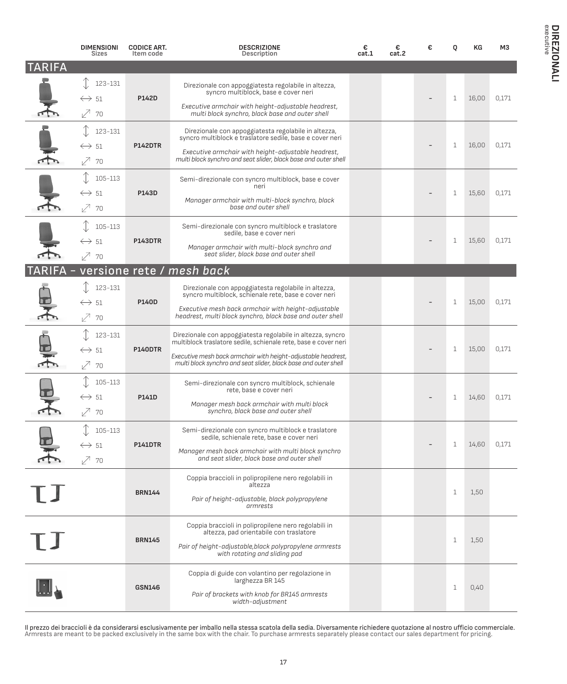|               | <b>DIMENSIONI</b><br><b>Sizes</b>                | <b>CODICE ART.</b><br>Item code | <b>DESCRIZIONE</b><br>Description                                                                                                                                                                   | €<br>cat.1 | €<br>cat.2 | 0 | KG    | M3    |
|---------------|--------------------------------------------------|---------------------------------|-----------------------------------------------------------------------------------------------------------------------------------------------------------------------------------------------------|------------|------------|---|-------|-------|
| <b>TARIFA</b> |                                                  |                                 |                                                                                                                                                                                                     |            |            |   |       |       |
|               | 123-131                                          | P142D                           | Direzionale con appoggiatesta regolabile in altezza,<br>syncro multiblock, base e cover neri                                                                                                        |            |            |   |       |       |
|               | $\leftrightarrow$ 51<br>$\nabla$<br>70           |                                 | Executive armchair with height-adjustable headrest,<br>multi block synchro, black base and outer shell                                                                                              |            |            | 1 | 16,00 | 0,171 |
|               | 123-131                                          | <b>P142DTR</b>                  | Direzionale con appoggiatesta regolabile in altezza,<br>syncro multiblock e traslatore sedile, base e cover neri                                                                                    |            |            |   |       |       |
|               | $\leftrightarrow$ 51<br>$\sqrt{ }$<br>70         |                                 | Executive armchair with height-adjustable headrest,<br>multi block synchro and seat slider, black base and outer shell                                                                              |            |            | 1 | 16,00 | 0,171 |
|               | 105-113                                          | P143D                           | Semi-direzionale con syncro multiblock, base e cover<br>neri                                                                                                                                        |            |            |   |       |       |
|               | $\leftrightarrow$ 51<br>ℤ<br>70                  |                                 | Manager armchair with multi-block synchro, black<br>base and outer shell                                                                                                                            |            |            | 1 | 15,60 | 0,171 |
|               | $105 - 113$                                      | <b>P143DTR</b>                  | Semi-direzionale con syncro multiblock e traslatore<br>sedile, base e cover neri                                                                                                                    |            |            |   |       |       |
|               | $\leftrightarrow$ 51<br>$\nabla$<br>70           |                                 | Manager armchair with multi-block synchro and<br>seat slider, black base and outer shell                                                                                                            |            |            | 1 | 15,60 | 0,171 |
|               |                                                  |                                 | versione rete / mesh back                                                                                                                                                                           |            |            |   |       |       |
|               | 123-131                                          | P140D                           | Direzionale con appoggiatesta regolabile in altezza,<br>syncro multiblock, schienale rete, base e cover neri                                                                                        |            |            |   |       |       |
|               | $\leftrightarrow$ 51<br>$\nu$ <sup>70</sup>      |                                 | Executive mesh back armchair with height-adjustable<br>headrest, multi block synchro, black base and outer shell                                                                                    |            |            | 1 | 15,00 | 0,171 |
|               | 123-131                                          | P140DTR                         | Direzionale con appoggiatesta regolabile in altezza, syncro                                                                                                                                         |            |            |   |       |       |
|               | $\leftrightarrow$ 51<br>$\bar{\mathbb{Z}}$<br>70 |                                 | multiblock traslatore sedile, schienale rete, base e cover neri<br>Executive mesh back armchair with height-adjustable headrest,<br>multi block synchro and seat slider, black base and outer shell |            |            | 1 | 15,00 | 0,171 |
|               | 105-113                                          |                                 | Semi-direzionale con syncro multiblock, schienale                                                                                                                                                   |            |            |   |       |       |
|               | $\leftrightarrow$ 51                             | P141D                           | rete, base e cover neri<br>Manager mesh back armchair with multi block                                                                                                                              |            |            | 1 | 14,60 | 0,171 |
|               | $\nu$ 70                                         |                                 | synchro, black base and outer shell                                                                                                                                                                 |            |            |   |       |       |
|               | 105-113                                          |                                 | Semi-direzionale con syncro multiblock e traslatore<br>sedile, schienale rete, base e cover neri                                                                                                    |            |            |   |       |       |
|               | $\leftrightarrow$ 51<br>$\nabla$ 70              | <b>P141DTR</b>                  | Manager mesh back armchair with multi block synchro<br>and seat slider, black base and outer shell                                                                                                  |            |            | 1 | 14,60 | 0,171 |
|               |                                                  | <b>BRN144</b>                   | Coppia braccioli in polipropilene nero regolabili in<br>altezza                                                                                                                                     |            |            |   |       |       |
| U             |                                                  |                                 | Pair of height-adjustable, black polypropylene<br>armrests                                                                                                                                          |            |            | 1 | 1,50  |       |
|               |                                                  |                                 | Coppia braccioli in polipropilene nero regolabili in<br>altezza, pad orientabile con traslatore                                                                                                     |            |            |   |       |       |
| TI            | <b>BRN145</b>                                    |                                 | Pair of height-adjustable,black polypropylene armrests<br>with rotating and sliding pad                                                                                                             |            |            | 1 | 1,50  |       |
|               |                                                  |                                 | Coppia di guide con volantino per regolazione in<br>larghezza BR 145                                                                                                                                |            |            |   |       |       |
|               |                                                  | <b>GSN146</b>                   | Pair of brackets with knob for BR145 armrests<br>width-adjustment                                                                                                                                   |            |            | 1 | 0,40  |       |

**executive DIREZIONALI**

**DIREZIONALI**<br>executive

Il prezzo dei braccioli è da considerarsi esclusivamente per imballo nella stessa scatola della sedia. Diversamente richiedere quotazione al nostro ufficio commerciale.<br>Armrests are meant to be packed exclusively in the sa

17